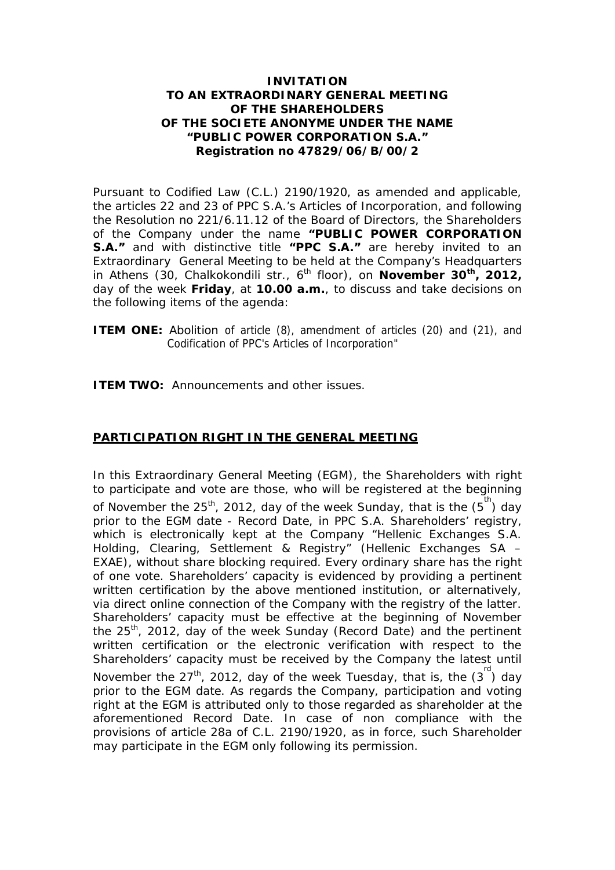#### **INVITATION TO AN EXTRAORDINARY GENERAL MEETING OF THE SHAREHOLDERS OF THE SOCIETE ANONYME UNDER THE NAME "PUBLIC POWER CORPORATION S.A." Registration no 47829/06/ƨ/00/2**

Pursuant to Codified Law (C.L.) 2190/1920, as amended and applicable, the articles 22 and 23 of PPC S.A.'s Articles of Incorporation, and following the Resolution no 221/6.11.12 of the Board of Directors, the Shareholders of the Company under the name **"PUBLIC POWER CORPORATION S.A."** and with distinctive title **"PPC S.A."** are hereby invited to an Extraordinary General Meeting to be held at the Company's Headquarters in Athens (30, Chalkokondili str., 6<sup>th</sup> floor), on November 30<sup>th</sup>, 2012, day of the week **Friday**, at **10.00 a.m.**, to discuss and take decisions on the following items of the agenda:

**ITEM ONE:** Abolition of article (8), amendment of articles (20) and (21), and Codification of PPC's Articles of Incorporation"

**ITEM TWO:** Announcements and other issues.

#### **PARTICIPATION RIGHT IN THE GENERAL MEETING**

In this Extraordinary General Meeting (EGM), the Shareholders with right to participate and vote are those, who will be registered at the beginning of November the 25<sup>th</sup>, 2012, day of the week Sunday, that is the  $(5^{\text{th}})$  day prior to the EGM date - Record Date, in PPC S.A. Shareholders' registry, which is electronically kept at the Company "Hellenic Exchanges S.A. Holding, Clearing, Settlement & Registry" (Hellenic Exchanges SA – EXAE), without share blocking required. Every ordinary share has the right of one vote. Shareholders' capacity is evidenced by providing a pertinent written certification by the above mentioned institution, or alternatively, via direct online connection of the Company with the registry of the latter. Shareholders' capacity must be effective at the beginning of November the 25<sup>th</sup>, 2012, day of the week Sunday (Record Date) and the pertinent written certification or the electronic verification with respect to the Shareholders' capacity must be received by the Company the latest until November the  $27<sup>th</sup>$ , 2012, day of the week Tuesday, that is, the  $(3<sup>rd</sup>)$  day prior to the EGM date. As regards the Company, participation and voting right at the EGM is attributed only to those regarded as shareholder at the aforementioned Record Date. In case of non compliance with the provisions of article 28a of C.L. 2190/1920, as in force, such Shareholder may participate in the EGM only following its permission.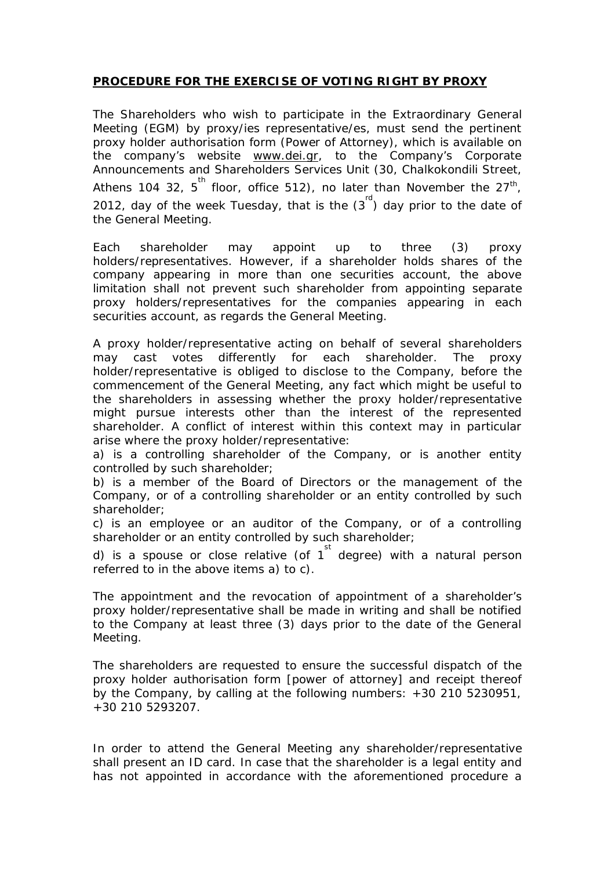## **PROCEDURE FOR THE EXERCISE OF VOTING RIGHT BY PROXY**

The Shareholders who wish to participate in the Extraordinary General Meeting (EGM) by proxy/ies representative/es, must send the pertinent proxy holder authorisation form (Power of Attorney), which is available on the company's website [www.dei.gr,](http://www.dei.gr/) to the Company's Corporate Announcements and Shareholders Services Unit (30, Chalkokondili Street, Athens 104 32,  $5^{th}$  floor, office 512), no later than November the 27<sup>th</sup>, 2012, day of the week Tuesday, that is the  $(3^{\degree})$  day prior to the date of the General Meeting.

Each shareholder may appoint up to three (3) proxy holders/representatives. However, if a shareholder holds shares of the company appearing in more than one securities account, the above limitation shall not prevent such shareholder from appointing separate proxy holders/representatives for the companies appearing in each securities account, as regards the General Meeting.

A proxy holder/representative acting on behalf of several shareholders may cast votes differently for each shareholder. The proxy holder/representative is obliged to disclose to the Company, before the commencement of the General Meeting, any fact which might be useful to the shareholders in assessing whether the proxy holder/representative might pursue interests other than the interest of the represented shareholder. A conflict of interest within this context may in particular arise where the proxy holder/representative:

a) is a controlling shareholder of the Company, or is another entity controlled by such shareholder;

b) is a member of the Board of Directors or the management of the Company, or of a controlling shareholder or an entity controlled by such shareholder;

c) is an employee or an auditor of the Company, or of a controlling shareholder or an entity controlled by such shareholder;

d) is a spouse or close relative (of 1<sup>st</sup> degree) with a natural person referred to in the above items a) to c).

The appointment and the revocation of appointment of a shareholder's proxy holder/representative shall be made in writing and shall be notified to the Company at least three (3) days prior to the date of the General Meeting.

The shareholders are requested to ensure the successful dispatch of the proxy holder authorisation form [power of attorney] and receipt thereof by the Company, by calling at the following numbers: +30 210 5230951, +30 210 5293207.

In order to attend the General Meeting any shareholder/representative shall present an ID card. In case that the shareholder is a legal entity and has not appointed in accordance with the aforementioned procedure a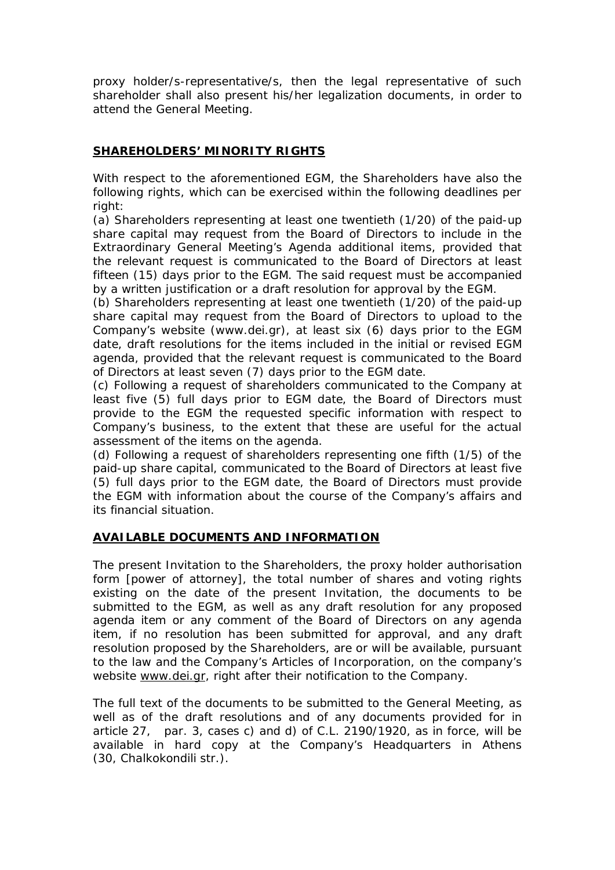proxy holder/s-representative/s, then the legal representative of such shareholder shall also present his/her legalization documents, in order to attend the General Meeting.

## **SHAREHOLDERS' MINORITY RIGHTS**

With respect to the aforementioned EGM, the Shareholders have also the following rights, which can be exercised within the following deadlines per right:

(a) Shareholders representing at least one twentieth (1/20) of the paid-up share capital may request from the Board of Directors to include in the Extraordinary General Meeting's Agenda additional items, provided that the relevant request is communicated to the Board of Directors at least fifteen (15) days prior to the EGM. The said request must be accompanied by a written justification or a draft resolution for approval by the EGM.

(b) Shareholders representing at least one twentieth (1/20) of the paid-up share capital may request from the Board of Directors to upload to the Company's website (www.dei.gr), at least six (6) days prior to the EGM date, draft resolutions for the items included in the initial or revised EGM agenda, provided that the relevant request is communicated to the Board of Directors at least seven (7) days prior to the EGM date.

(c) Following a request of shareholders communicated to the Company at least five (5) full days prior to EGM date, the Board of Directors must provide to the EGM the requested specific information with respect to Company's business, to the extent that these are useful for the actual assessment of the items on the agenda.

(d) Following a request of shareholders representing one fifth (1/5) of the paid-up share capital, communicated to the Board of Directors at least five (5) full days prior to the EGM date, the Board of Directors must provide the EGM with information about the course of the Company's affairs and its financial situation.

# **AVAILABLE DOCUMENTS AND INFORMATION**

The present Invitation to the Shareholders, the proxy holder authorisation form [power of attorney], the total number of shares and voting rights existing on the date of the present Invitation, the documents to be submitted to the EGM, as well as any draft resolution for any proposed agenda item or any comment of the Board of Directors on any agenda item, if no resolution has been submitted for approval, and any draft resolution proposed by the Shareholders, are or will be available, pursuant to the law and the Company's Articles of Incorporation, on the company's website [www.dei.gr,](http://www.dei.gr/) right after their notification to the Company.

The full text of the documents to be submitted to the General Meeting, as well as of the draft resolutions and of any documents provided for in article 27, par. 3, cases c) and d) of C.L. 2190/1920, as in force, will be available in hard copy at the Company's Headquarters in Athens (30, Chalkokondili str.).